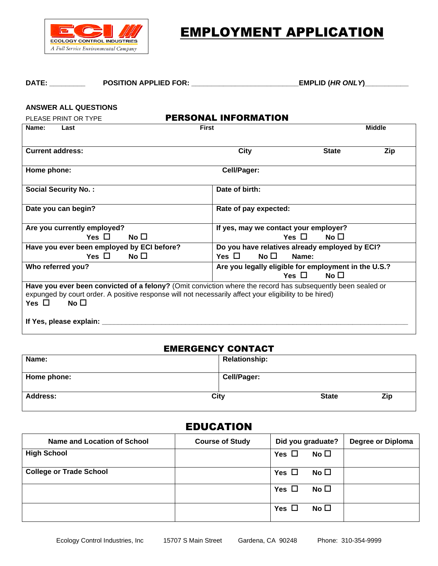

EMPLOYMENT APPLICATION

#### **DATE: \_\_\_\_\_\_\_\_\_ POSITION APPLIED FOR: \_\_\_\_\_\_\_\_\_\_\_\_\_\_\_\_\_\_\_\_\_\_\_\_\_\_\_EMPLID (***HR ONLY***)\_\_\_\_\_\_\_\_\_\_\_**

#### **ANSWER ALL QUESTIONS**

| PLEASE PRINT OR TYPE                                                                                                                                                                                                                                | <b>PERSONAL INFORMATION</b>                          |  |  |
|-----------------------------------------------------------------------------------------------------------------------------------------------------------------------------------------------------------------------------------------------------|------------------------------------------------------|--|--|
| <b>First</b><br>Name:<br>Last                                                                                                                                                                                                                       | <b>Middle</b>                                        |  |  |
|                                                                                                                                                                                                                                                     |                                                      |  |  |
| <b>Current address:</b>                                                                                                                                                                                                                             | City<br><b>State</b><br>Zip                          |  |  |
| Home phone:                                                                                                                                                                                                                                         | Cell/Pager:                                          |  |  |
| <b>Social Security No.:</b>                                                                                                                                                                                                                         | Date of birth:                                       |  |  |
| Date you can begin?                                                                                                                                                                                                                                 | Rate of pay expected:                                |  |  |
| Are you currently employed?                                                                                                                                                                                                                         | If yes, may we contact your employer?                |  |  |
| Yes $\Box$<br>$No$ $\Box$                                                                                                                                                                                                                           | Yes $\Box$<br>No $\square$                           |  |  |
| Have you ever been employed by ECI before?                                                                                                                                                                                                          | Do you have relatives already employed by ECI?       |  |  |
| Yes $\Box$<br>No $\Box$                                                                                                                                                                                                                             | No $\square$<br>Yes $\Box$<br>Name:                  |  |  |
| Who referred you?                                                                                                                                                                                                                                   | Are you legally eligible for employment in the U.S.? |  |  |
|                                                                                                                                                                                                                                                     | Yes $\Box$<br>No $\Box$                              |  |  |
| Have you ever been convicted of a felony? (Omit conviction where the record has subsequently been sealed or<br>expunged by court order. A positive response will not necessarily affect your eligibility to be hired)<br>No $\square$<br>Yes $\Box$ |                                                      |  |  |
| If Yes, please explain: _                                                                                                                                                                                                                           |                                                      |  |  |

#### EMERGENCY CONTACT

| Name:           | <b>Relationship:</b>        |
|-----------------|-----------------------------|
| Home phone:     | <b>Cell/Pager:</b>          |
| <b>Address:</b> | City<br>Zip<br><b>State</b> |

# EDUCATION

| Name and Location of School    | <b>Course of Study</b> | Did you graduate?          | <b>Degree or Diploma</b> |
|--------------------------------|------------------------|----------------------------|--------------------------|
| <b>High School</b>             |                        | No $\square$<br>Yes $\Box$ |                          |
| <b>College or Trade School</b> |                        | No $\square$<br>Yes $\Box$ |                          |
|                                |                        | No $\square$<br>Yes $\Box$ |                          |
|                                |                        | No $\square$<br>Yes $\Box$ |                          |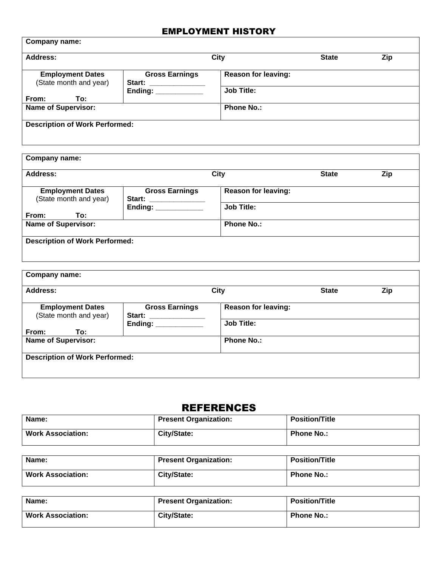### EMPLOYMENT HISTORY

| <b>Address:</b>                                   |                                 | <b>City</b>                | <b>State</b> | Zip |
|---------------------------------------------------|---------------------------------|----------------------------|--------------|-----|
| <b>Employment Dates</b><br>(State month and year) | <b>Gross Earnings</b><br>Start: | <b>Reason for leaving:</b> |              |     |
| From:<br>To:                                      | Ending: $\_\_$                  | <b>Job Title:</b>          |              |     |
| <b>Name of Supervisor:</b>                        |                                 | <b>Phone No.:</b>          |              |     |

| <b>Address:</b>                                   |                                        | <b>City</b>                | <b>State</b> | Zip |
|---------------------------------------------------|----------------------------------------|----------------------------|--------------|-----|
| <b>Employment Dates</b><br>(State month and year) | <b>Gross Earnings</b><br><b>Start:</b> | <b>Reason for leaving:</b> |              |     |
| From:<br>To:                                      | Ending: $\_\_$                         | <b>Job Title:</b>          |              |     |
| <b>Name of Supervisor:</b>                        |                                        | <b>Phone No.:</b>          |              |     |

| <b>Address:</b>                                   |                                 | City                       | <b>State</b> | Zip |
|---------------------------------------------------|---------------------------------|----------------------------|--------------|-----|
| <b>Employment Dates</b><br>(State month and year) | <b>Gross Earnings</b><br>Start: | <b>Reason for leaving:</b> |              |     |
| From:<br>To:                                      | Ending: ________                | <b>Job Title:</b>          |              |     |
| <b>Name of Supervisor:</b>                        |                                 | <b>Phone No.:</b>          |              |     |

## REFERENCES

| Name:                    | <b>Present Organization:</b> | <b>Position/Title</b> |
|--------------------------|------------------------------|-----------------------|
| <b>Work Association:</b> | City/State:                  | <b>Phone No.:</b>     |

| Name:                    | <b>Present Organization:</b> | <b>Position/Title</b> |
|--------------------------|------------------------------|-----------------------|
| <b>Work Association:</b> | City/State:                  | <b>Phone No.:</b>     |

| Name:                    | <b>Present Organization:</b> | <b>Position/Title</b> |
|--------------------------|------------------------------|-----------------------|
| <b>Work Association:</b> | City/State:                  | <b>Phone No.:</b>     |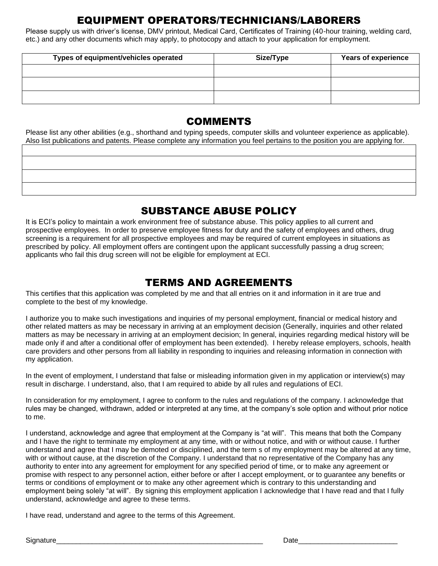# EQUIPMENT OPERATORS/TECHNICIANS/LABORERS

Please supply us with driver's license, DMV printout, Medical Card, Certificates of Training (40-hour training, welding card, etc.) and any other documents which may apply, to photocopy and attach to your application for employment.

| Types of equipment/vehicles operated | Size/Type | <b>Years of experience</b> |
|--------------------------------------|-----------|----------------------------|
|                                      |           |                            |
|                                      |           |                            |
|                                      |           |                            |

## COMMENTS

Please list any other abilities (e.g., shorthand and typing speeds, computer skills and volunteer experience as applicable). Also list publications and patents. Please complete any information you feel pertains to the position you are applying for.

## SUBSTANCE ABUSE POLICY

It is ECI's policy to maintain a work environment free of substance abuse. This policy applies to all current and prospective employees. In order to preserve employee fitness for duty and the safety of employees and others, drug screening is a requirement for all prospective employees and may be required of current employees in situations as prescribed by policy. All employment offers are contingent upon the applicant successfully passing a drug screen; applicants who fail this drug screen will not be eligible for employment at ECI.

## TERMS AND AGREEMENTS

This certifies that this application was completed by me and that all entries on it and information in it are true and complete to the best of my knowledge.

I authorize you to make such investigations and inquiries of my personal employment, financial or medical history and other related matters as may be necessary in arriving at an employment decision (Generally, inquiries and other related matters as may be necessary in arriving at an employment decision; In general, inquiries regarding medical history will be made only if and after a conditional offer of employment has been extended). I hereby release employers, schools, health care providers and other persons from all liability in responding to inquiries and releasing information in connection with my application.

In the event of employment, I understand that false or misleading information given in my application or interview(s) may result in discharge. I understand, also, that I am required to abide by all rules and regulations of ECI.

In consideration for my employment, I agree to conform to the rules and regulations of the company. I acknowledge that rules may be changed, withdrawn, added or interpreted at any time, at the company's sole option and without prior notice to me.

I understand, acknowledge and agree that employment at the Company is "at will". This means that both the Company and I have the right to terminate my employment at any time, with or without notice, and with or without cause. I further understand and agree that I may be demoted or disciplined, and the term s of my employment may be altered at any time, with or without cause, at the discretion of the Company. I understand that no representative of the Company has any authority to enter into any agreement for employment for any specified period of time, or to make any agreement or promise with respect to any personnel action, either before or after I accept employment, or to guarantee any benefits or terms or conditions of employment or to make any other agreement which is contrary to this understanding and employment being solely "at will". By signing this employment application I acknowledge that I have read and that I fully understand, acknowledge and agree to these terms.

I have read, understand and agree to the terms of this Agreement.

Signature\_\_\_\_\_\_\_\_\_\_\_\_\_\_\_\_\_\_\_\_\_\_\_\_\_\_\_\_\_\_\_\_\_\_\_\_\_\_\_\_\_\_\_\_\_\_\_\_\_\_\_\_ Date\_\_\_\_\_\_\_\_\_\_\_\_\_\_\_\_\_\_\_\_\_\_\_\_\_